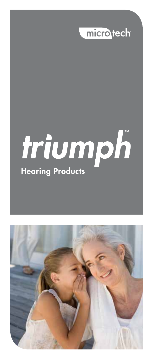

# triumph

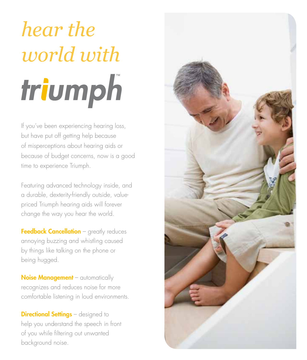## *hear the world with*triumph

If you've been experiencing hearing loss, but have put off getting help because of misperceptions about hearing aids or because of budget concerns, now is a good time to experience Triumph.

Featuring advanced technology inside, and a durable, dexterity-friendly outside, valuepriced Triumph hearing aids will forever change the way you hear the world.

Feedback Cancellation - greatly reduces annoying buzzing and whistling caused by things like talking on the phone or being hugged.

Noise Management - automatically recognizes and reduces noise for more comfortable listening in loud environments.

**Directional Settings** – designed to help you understand the speech in front of you while filtering out unwanted background noise.

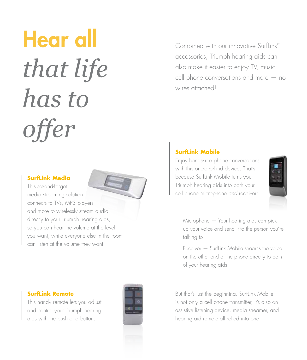### Hear all *that life has to offer*

#### **SurfLink Media**

This set-and-forget media streaming solution connects to TVs, MP3 players and more to wirelessly stream audio directly to your Triumph hearing aids, so you can hear the volume at the level you want, while everyone else in the room can listen at the volume they want.

#### **SurfLink Remote**

This handy remote lets you adjust and control your Triumph hearing aids with the push of a button.



Combined with our innovative Surflink<sup>®</sup> accessories, Triumph hearing aids can also make it easier to enjoy TV, music, cell phone conversations and more — no wires attached!

#### **SurfLink Mobile**

Enjoy hands-free phone conversations with this one-of-a-kind device. That's because SurfLink Mobile turns your Triumph hearing aids into both your cell phone microphone and receiver:



 Microphone — Your hearing aids can pick up your voice and send it to the person you're talking to

 $Receiver - Surflink Mobile streams the voice$ on the other end of the phone directly to both of your hearing aids

But that's just the beginning. SurfLink Mobile is not only a cell phone transmitter, it's also an assistive listening device, media streamer, and hearing aid remote all rolled into one.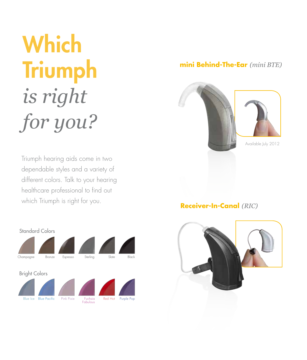### **Which Triumph** *is right for you?*

Triumph hearing aids come in two dependable styles and a variety of different colors. Talk to your hearing healthcare professional to find out which Triumph is right for you.



#### **mini Behind-The-Ear** *(mini BTE)*



#### **Receiver-In-Canal** *(RIC)*